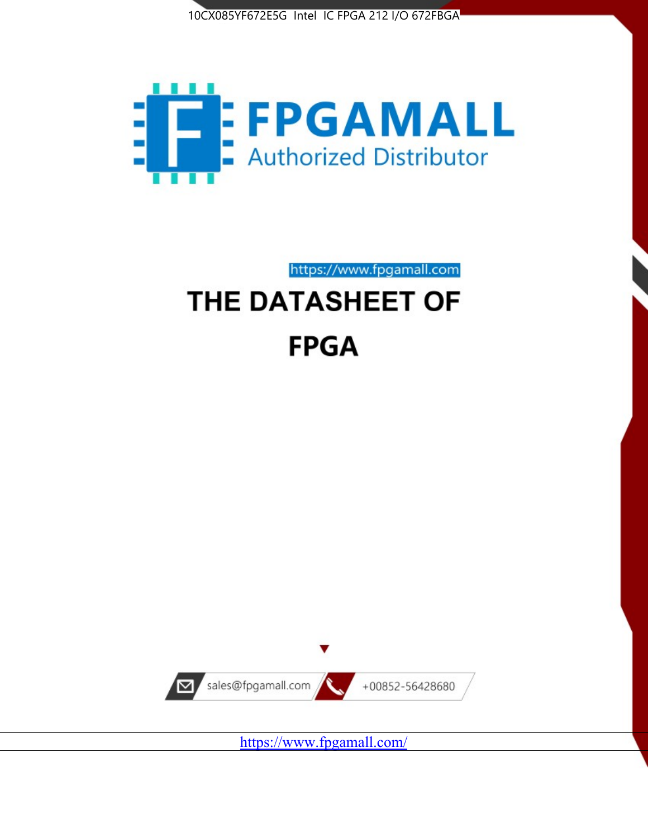



# https://www.fpgamall.com THE DATASHEET OF

# **FPGA**



<https://www.fpgamall.com/>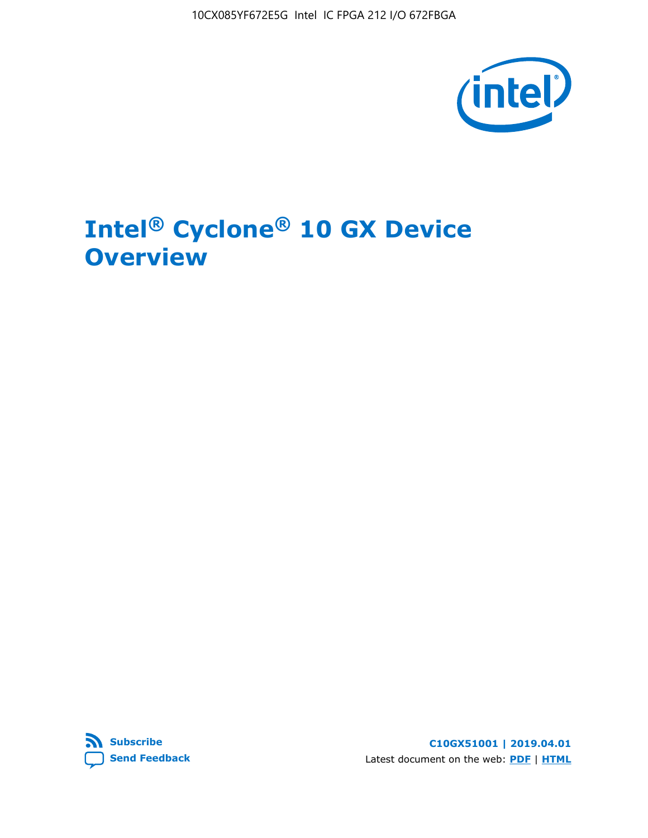10CX085YF672E5G Intel IC FPGA 212 I/O 672FBGA



# **Intel® Cyclone® 10 GX Device Overview**



**C10GX51001 | 2019.04.01** Latest document on the web: **[PDF](https://www.intel.com/content/dam/www/programmable/us/en/pdfs/literature/hb/cyclone-10/c10gx-51001.pdf)** | **[HTML](https://www.intel.com/content/www/us/en/programmable/documentation/grc1488182989852.html)**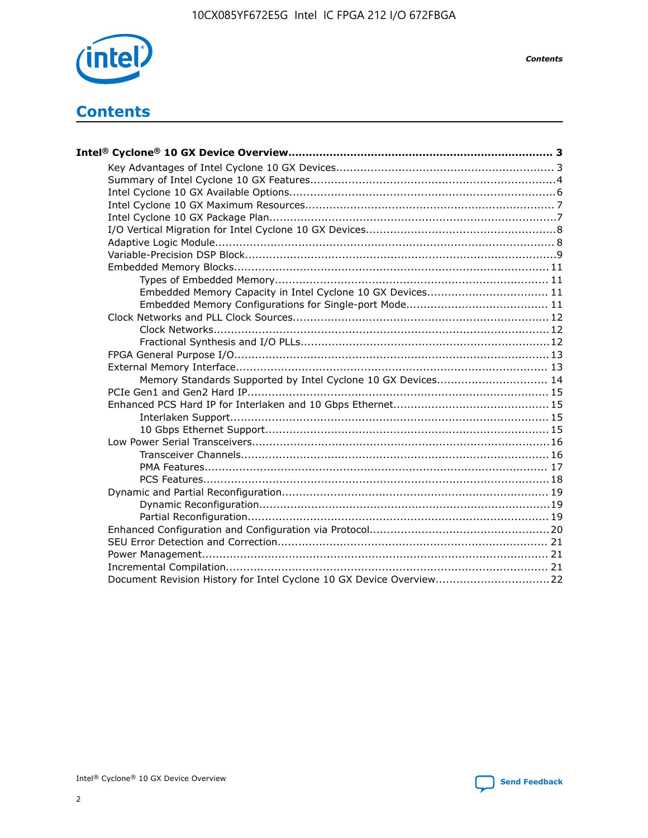

*Contents*

# **Contents**

| Embedded Memory Capacity in Intel Cyclone 10 GX Devices 11          |  |
|---------------------------------------------------------------------|--|
|                                                                     |  |
|                                                                     |  |
|                                                                     |  |
|                                                                     |  |
|                                                                     |  |
|                                                                     |  |
| Memory Standards Supported by Intel Cyclone 10 GX Devices 14        |  |
|                                                                     |  |
|                                                                     |  |
|                                                                     |  |
|                                                                     |  |
|                                                                     |  |
|                                                                     |  |
|                                                                     |  |
|                                                                     |  |
|                                                                     |  |
|                                                                     |  |
|                                                                     |  |
|                                                                     |  |
|                                                                     |  |
|                                                                     |  |
|                                                                     |  |
| Document Revision History for Intel Cyclone 10 GX Device Overview22 |  |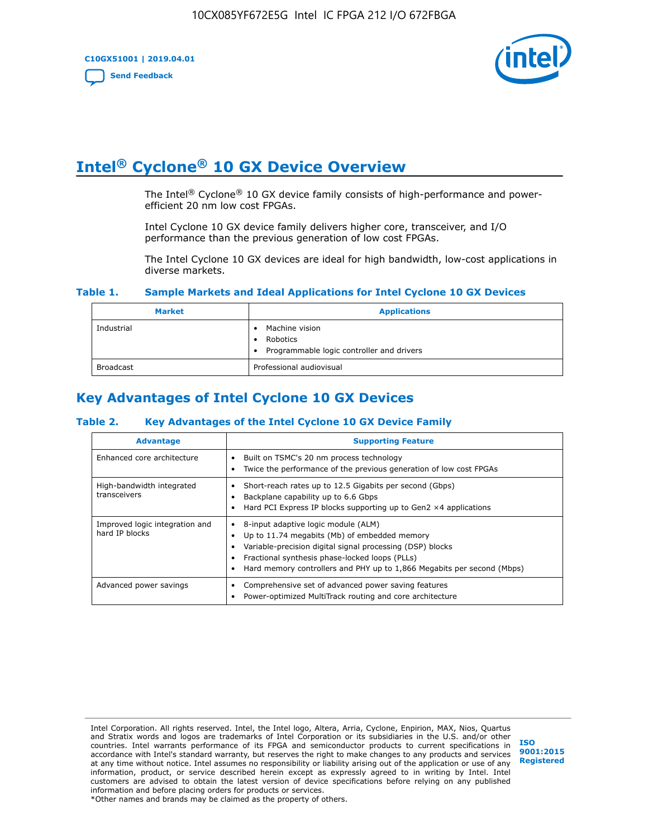

# **Intel® Cyclone® 10 GX Device Overview**

The Intel<sup>®</sup> Cyclone<sup>®</sup> 10 GX device family consists of high-performance and powerefficient 20 nm low cost FPGAs.

Intel Cyclone 10 GX device family delivers higher core, transceiver, and I/O performance than the previous generation of low cost FPGAs.

The Intel Cyclone 10 GX devices are ideal for high bandwidth, low-cost applications in diverse markets.

#### **Table 1. Sample Markets and Ideal Applications for Intel Cyclone 10 GX Devices**

| <b>Market</b>    | <b>Applications</b>                                                       |
|------------------|---------------------------------------------------------------------------|
| Industrial       | Machine vision<br>Robotics<br>• Programmable logic controller and drivers |
| <b>Broadcast</b> | Professional audiovisual                                                  |

# **Key Advantages of Intel Cyclone 10 GX Devices**

#### **Table 2. Key Advantages of the Intel Cyclone 10 GX Device Family**

| <b>Advantage</b>                                 | <b>Supporting Feature</b>                                                                                                                                                                                                                                                              |  |  |  |  |
|--------------------------------------------------|----------------------------------------------------------------------------------------------------------------------------------------------------------------------------------------------------------------------------------------------------------------------------------------|--|--|--|--|
| Enhanced core architecture                       | Built on TSMC's 20 nm process technology<br>٠<br>Twice the performance of the previous generation of low cost FPGAs<br>٠                                                                                                                                                               |  |  |  |  |
| High-bandwidth integrated<br>transceivers        | Short-reach rates up to 12.5 Gigabits per second (Gbps)<br>Backplane capability up to 6.6 Gbps<br>Hard PCI Express IP blocks supporting up to Gen2 $\times$ 4 applications                                                                                                             |  |  |  |  |
| Improved logic integration and<br>hard IP blocks | 8-input adaptive logic module (ALM)<br>٠<br>Up to 11.74 megabits (Mb) of embedded memory<br>٠<br>Variable-precision digital signal processing (DSP) blocks<br>Fractional synthesis phase-locked loops (PLLs)<br>Hard memory controllers and PHY up to 1,866 Megabits per second (Mbps) |  |  |  |  |
| Advanced power savings                           | Comprehensive set of advanced power saving features<br>٠<br>Power-optimized MultiTrack routing and core architecture                                                                                                                                                                   |  |  |  |  |

Intel Corporation. All rights reserved. Intel, the Intel logo, Altera, Arria, Cyclone, Enpirion, MAX, Nios, Quartus and Stratix words and logos are trademarks of Intel Corporation or its subsidiaries in the U.S. and/or other countries. Intel warrants performance of its FPGA and semiconductor products to current specifications in accordance with Intel's standard warranty, but reserves the right to make changes to any products and services at any time without notice. Intel assumes no responsibility or liability arising out of the application or use of any information, product, or service described herein except as expressly agreed to in writing by Intel. Intel customers are advised to obtain the latest version of device specifications before relying on any published information and before placing orders for products or services. \*Other names and brands may be claimed as the property of others.

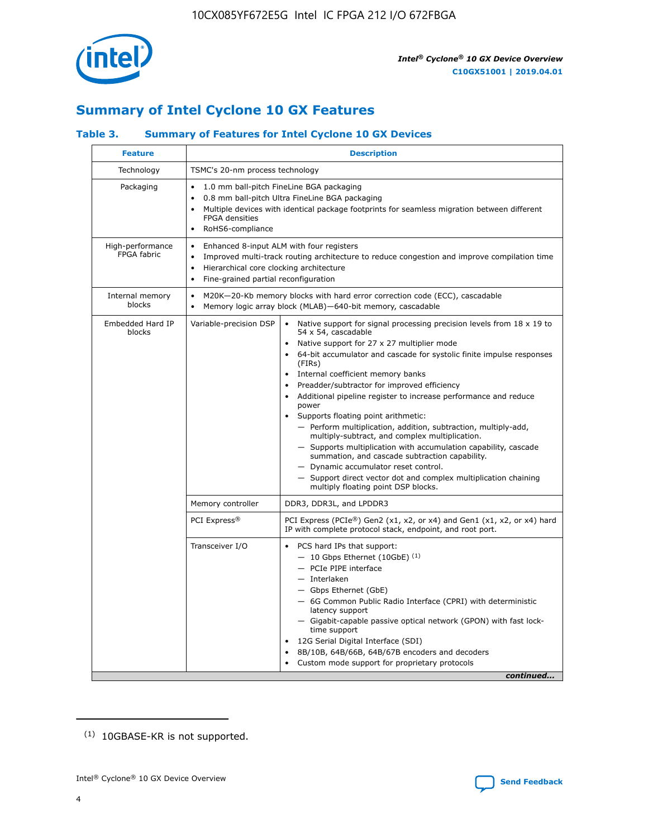

# **Summary of Intel Cyclone 10 GX Features**

## **Table 3. Summary of Features for Intel Cyclone 10 GX Devices**

| TSMC's 20-nm process technology<br>$\bullet$<br><b>FPGA</b> densities<br>RoHS6-compliance<br>$\bullet$<br>Enhanced 8-input ALM with four registers<br>$\bullet$<br>Hierarchical core clocking architecture<br>$\bullet$<br>Fine-grained partial reconfiguration<br>$\bullet$ | 1.0 mm ball-pitch FineLine BGA packaging<br>0.8 mm ball-pitch Ultra FineLine BGA packaging<br>Multiple devices with identical package footprints for seamless migration between different<br>Improved multi-track routing architecture to reduce congestion and improve compilation time                                                                                                                                                                                                                                                                                                                                                                                                                                                                                                                                       |
|------------------------------------------------------------------------------------------------------------------------------------------------------------------------------------------------------------------------------------------------------------------------------|--------------------------------------------------------------------------------------------------------------------------------------------------------------------------------------------------------------------------------------------------------------------------------------------------------------------------------------------------------------------------------------------------------------------------------------------------------------------------------------------------------------------------------------------------------------------------------------------------------------------------------------------------------------------------------------------------------------------------------------------------------------------------------------------------------------------------------|
|                                                                                                                                                                                                                                                                              |                                                                                                                                                                                                                                                                                                                                                                                                                                                                                                                                                                                                                                                                                                                                                                                                                                |
|                                                                                                                                                                                                                                                                              |                                                                                                                                                                                                                                                                                                                                                                                                                                                                                                                                                                                                                                                                                                                                                                                                                                |
|                                                                                                                                                                                                                                                                              |                                                                                                                                                                                                                                                                                                                                                                                                                                                                                                                                                                                                                                                                                                                                                                                                                                |
| $\bullet$                                                                                                                                                                                                                                                                    | M20K-20-Kb memory blocks with hard error correction code (ECC), cascadable<br>Memory logic array block (MLAB)-640-bit memory, cascadable                                                                                                                                                                                                                                                                                                                                                                                                                                                                                                                                                                                                                                                                                       |
| Variable-precision DSP                                                                                                                                                                                                                                                       | Native support for signal processing precision levels from 18 x 19 to<br>54 x 54, cascadable<br>Native support for 27 x 27 multiplier mode<br>64-bit accumulator and cascade for systolic finite impulse responses<br>(FIRs)<br>Internal coefficient memory banks<br>Preadder/subtractor for improved efficiency<br>Additional pipeline register to increase performance and reduce<br>power<br>Supports floating point arithmetic:<br>- Perform multiplication, addition, subtraction, multiply-add,<br>multiply-subtract, and complex multiplication.<br>- Supports multiplication with accumulation capability, cascade<br>summation, and cascade subtraction capability.<br>- Dynamic accumulator reset control.<br>- Support direct vector dot and complex multiplication chaining<br>multiply floating point DSP blocks. |
| Memory controller                                                                                                                                                                                                                                                            | DDR3, DDR3L, and LPDDR3                                                                                                                                                                                                                                                                                                                                                                                                                                                                                                                                                                                                                                                                                                                                                                                                        |
| PCI Express <sup>®</sup>                                                                                                                                                                                                                                                     | PCI Express (PCIe®) Gen2 (x1, x2, or x4) and Gen1 (x1, x2, or x4) hard<br>IP with complete protocol stack, endpoint, and root port.                                                                                                                                                                                                                                                                                                                                                                                                                                                                                                                                                                                                                                                                                            |
| Transceiver I/O                                                                                                                                                                                                                                                              | PCS hard IPs that support:<br>$-10$ Gbps Ethernet (10GbE) <sup>(1)</sup><br>- PCIe PIPE interface<br>- Interlaken<br>- Gbps Ethernet (GbE)<br>- 6G Common Public Radio Interface (CPRI) with deterministic<br>latency support<br>- Gigabit-capable passive optical network (GPON) with fast lock-<br>time support<br>12G Serial Digital Interface (SDI)<br>8B/10B, 64B/66B, 64B/67B encoders and decoders<br>Custom mode support for proprietary protocols                                                                                                                                                                                                                                                                                                                                                                     |
|                                                                                                                                                                                                                                                                              | $\bullet$                                                                                                                                                                                                                                                                                                                                                                                                                                                                                                                                                                                                                                                                                                                                                                                                                      |

(1) 10GBASE-KR is not supported.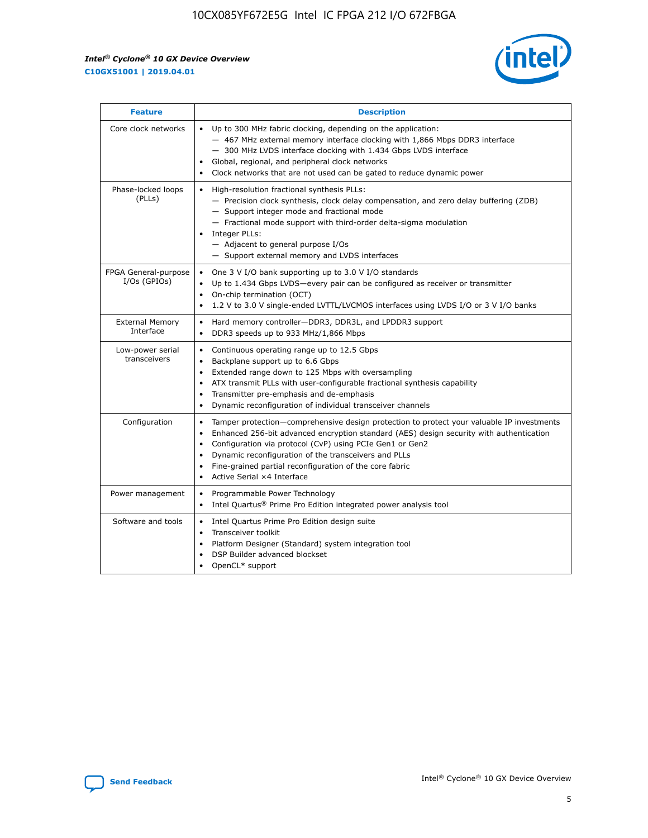

| <b>Feature</b>                         | <b>Description</b>                                                                                                                                                                                                                                                                                                                                                                                                                                                 |
|----------------------------------------|--------------------------------------------------------------------------------------------------------------------------------------------------------------------------------------------------------------------------------------------------------------------------------------------------------------------------------------------------------------------------------------------------------------------------------------------------------------------|
| Core clock networks                    | • Up to 300 MHz fabric clocking, depending on the application:<br>- 467 MHz external memory interface clocking with 1,866 Mbps DDR3 interface<br>- 300 MHz LVDS interface clocking with 1.434 Gbps LVDS interface<br>Global, regional, and peripheral clock networks<br>Clock networks that are not used can be gated to reduce dynamic power                                                                                                                      |
| Phase-locked loops<br>(PLLs)           | High-resolution fractional synthesis PLLs:<br>$\bullet$<br>- Precision clock synthesis, clock delay compensation, and zero delay buffering (ZDB)<br>- Support integer mode and fractional mode<br>- Fractional mode support with third-order delta-sigma modulation<br>Integer PLLs:<br>$-$ Adjacent to general purpose I/Os<br>- Support external memory and LVDS interfaces                                                                                      |
| FPGA General-purpose<br>$I/Os$ (GPIOs) | One 3 V I/O bank supporting up to 3.0 V I/O standards<br>$\bullet$<br>Up to 1.434 Gbps LVDS-every pair can be configured as receiver or transmitter<br>$\bullet$<br>On-chip termination (OCT)<br>$\bullet$<br>1.2 V to 3.0 V single-ended LVTTL/LVCMOS interfaces using LVDS I/O or 3 V I/O banks                                                                                                                                                                  |
| <b>External Memory</b><br>Interface    | Hard memory controller-DDR3, DDR3L, and LPDDR3 support<br>$\bullet$<br>DDR3 speeds up to 933 MHz/1,866 Mbps<br>$\bullet$                                                                                                                                                                                                                                                                                                                                           |
| Low-power serial<br>transceivers       | Continuous operating range up to 12.5 Gbps<br>$\bullet$<br>Backplane support up to 6.6 Gbps<br>Extended range down to 125 Mbps with oversampling<br>ATX transmit PLLs with user-configurable fractional synthesis capability<br>$\bullet$<br>Transmitter pre-emphasis and de-emphasis<br>Dynamic reconfiguration of individual transceiver channels<br>$\bullet$                                                                                                   |
| Configuration                          | Tamper protection-comprehensive design protection to protect your valuable IP investments<br>$\bullet$<br>Enhanced 256-bit advanced encryption standard (AES) design security with authentication<br>$\bullet$<br>Configuration via protocol (CvP) using PCIe Gen1 or Gen2<br>Dynamic reconfiguration of the transceivers and PLLs<br>$\bullet$<br>Fine-grained partial reconfiguration of the core fabric<br>$\bullet$<br>Active Serial ×4 Interface<br>$\bullet$ |
| Power management                       | Programmable Power Technology<br>$\bullet$<br>Intel Quartus® Prime Pro Edition integrated power analysis tool<br>$\bullet$                                                                                                                                                                                                                                                                                                                                         |
| Software and tools                     | Intel Quartus Prime Pro Edition design suite<br>$\bullet$<br>Transceiver toolkit<br>$\bullet$<br>Platform Designer (Standard) system integration tool<br>DSP Builder advanced blockset<br>OpenCL* support                                                                                                                                                                                                                                                          |

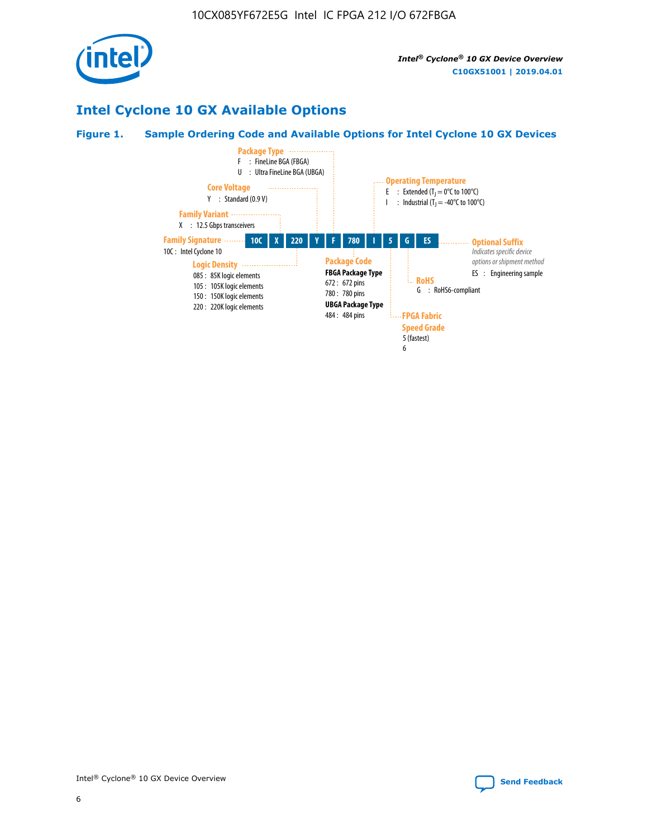

# **Intel Cyclone 10 GX Available Options**

#### **Figure 1. Sample Ordering Code and Available Options for Intel Cyclone 10 GX Devices**

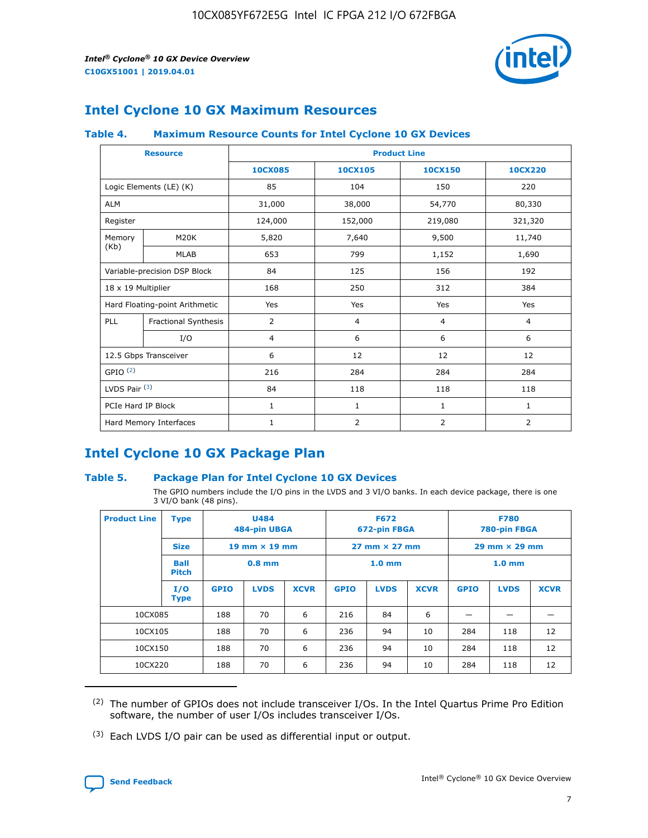

# **Intel Cyclone 10 GX Maximum Resources**

#### **Table 4. Maximum Resource Counts for Intel Cyclone 10 GX Devices**

|                           | <b>Resource</b>                | <b>Product Line</b> |                |              |                |  |
|---------------------------|--------------------------------|---------------------|----------------|--------------|----------------|--|
|                           |                                | <b>10CX085</b>      | 10CX105        | 10CX150      | 10CX220        |  |
|                           | Logic Elements (LE) (K)        | 85                  | 104            | 150          | 220            |  |
| <b>ALM</b>                |                                | 31,000              | 38,000         | 54,770       | 80,330         |  |
| Register                  |                                | 124,000             | 152,000        | 219,080      | 321,320        |  |
| Memory                    | M20K                           | 5,820               | 7,640          | 9,500        | 11,740         |  |
| (Kb)                      | <b>MLAB</b>                    | 653                 | 799            | 1,152        | 1,690          |  |
|                           | Variable-precision DSP Block   | 84                  | 125            | 156          | 192            |  |
| $18 \times 19$ Multiplier |                                | 168                 | 250            | 312          | 384            |  |
|                           | Hard Floating-point Arithmetic | Yes                 | Yes            | Yes          | Yes            |  |
| PLL                       | <b>Fractional Synthesis</b>    | 2                   | $\overline{4}$ | 4            | $\overline{4}$ |  |
|                           | I/O                            | $\overline{4}$      | 6              | 6            | 6              |  |
|                           | 12.5 Gbps Transceiver          | 6                   | 12             | 12           | 12             |  |
| GPIO <sup>(2)</sup>       |                                | 216                 | 284            | 284          | 284            |  |
| LVDS Pair (3)             |                                | 84                  | 118            | 118          | 118            |  |
| PCIe Hard IP Block        |                                | $\mathbf{1}$        | $\mathbf{1}$   | $\mathbf{1}$ | $\mathbf{1}$   |  |
|                           | Hard Memory Interfaces         | $\mathbf{1}$        | 2              | 2            | 2              |  |

# **Intel Cyclone 10 GX Package Plan**

#### **Table 5. Package Plan for Intel Cyclone 10 GX Devices**

The GPIO numbers include the I/O pins in the LVDS and 3 VI/O banks. In each device package, there is one 3 VI/O bank (48 pins).

| <b>Product Line</b> | <b>Type</b>          |             | <b>U484</b><br>484-pin UBGA |             |                                      | <b>F672</b><br>672-pin FBGA |                        |             | <b>F780</b><br>780-pin FBGA |             |
|---------------------|----------------------|-------------|-----------------------------|-------------|--------------------------------------|-----------------------------|------------------------|-------------|-----------------------------|-------------|
|                     | <b>Size</b>          |             | 19 mm $\times$ 19 mm        |             | $27 \text{ mm} \times 27 \text{ mm}$ |                             | $29$ mm $\times$ 29 mm |             |                             |             |
|                     | Ball<br><b>Pitch</b> |             | $0.8$ mm                    |             |                                      | 1.0 <sub>mm</sub>           |                        |             | 1.0 <sub>mm</sub>           |             |
|                     | I/O<br><b>Type</b>   | <b>GPIO</b> | <b>LVDS</b>                 | <b>XCVR</b> | <b>GPIO</b>                          | <b>LVDS</b>                 | <b>XCVR</b>            | <b>GPIO</b> | <b>LVDS</b>                 | <b>XCVR</b> |
| 10CX085             |                      | 188         | 70                          | 6           | 216                                  | 84                          | 6                      |             |                             |             |
| 10CX105             |                      | 188         | 70                          | 6           | 236                                  | 94                          | 10                     | 284         | 118                         | 12          |
| 10CX150             |                      | 188         | 70                          | 6           | 236                                  | 94                          | 10                     | 284         | 118                         | 12          |
| 10CX220             |                      | 188         | 70                          | 6           | 236                                  | 94                          | 10                     | 284         | 118                         | 12          |

<sup>(2)</sup> The number of GPIOs does not include transceiver I/Os. In the Intel Quartus Prime Pro Edition software, the number of user I/Os includes transceiver I/Os.

<sup>(3)</sup> Each LVDS I/O pair can be used as differential input or output.

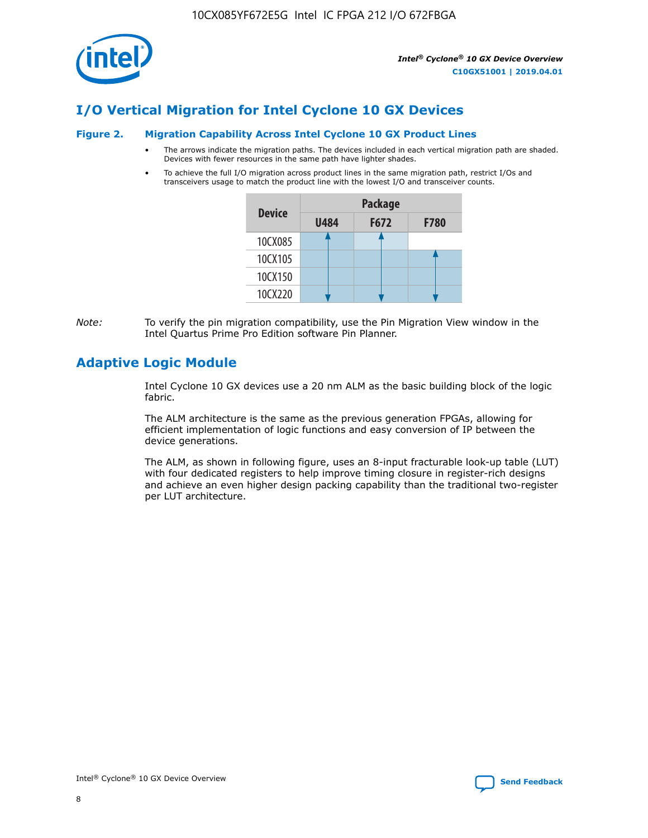

# **I/O Vertical Migration for Intel Cyclone 10 GX Devices**

#### **Figure 2. Migration Capability Across Intel Cyclone 10 GX Product Lines**

- The arrows indicate the migration paths. The devices included in each vertical migration path are shaded. Devices with fewer resources in the same path have lighter shades.
- To achieve the full I/O migration across product lines in the same migration path, restrict I/Os and transceivers usage to match the product line with the lowest I/O and transceiver counts.

| <b>Device</b> | <b>Package</b> |      |             |  |  |
|---------------|----------------|------|-------------|--|--|
|               | <b>U484</b>    | F672 | <b>F780</b> |  |  |
| 10CX085       |                |      |             |  |  |
| 10CX105       |                |      |             |  |  |
| 10CX150       |                |      |             |  |  |
| 10CX220       |                |      |             |  |  |

*Note:* To verify the pin migration compatibility, use the Pin Migration View window in the Intel Quartus Prime Pro Edition software Pin Planner.

# **Adaptive Logic Module**

Intel Cyclone 10 GX devices use a 20 nm ALM as the basic building block of the logic fabric.

The ALM architecture is the same as the previous generation FPGAs, allowing for efficient implementation of logic functions and easy conversion of IP between the device generations.

The ALM, as shown in following figure, uses an 8-input fracturable look-up table (LUT) with four dedicated registers to help improve timing closure in register-rich designs and achieve an even higher design packing capability than the traditional two-register per LUT architecture.

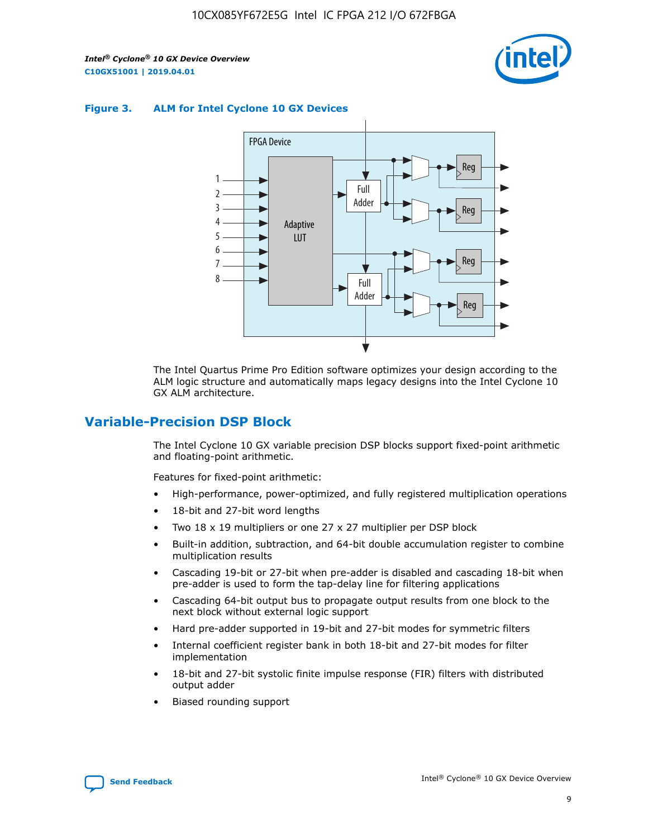

#### **Figure 3. ALM for Intel Cyclone 10 GX Devices**



The Intel Quartus Prime Pro Edition software optimizes your design according to the ALM logic structure and automatically maps legacy designs into the Intel Cyclone 10 GX ALM architecture.

## **Variable-Precision DSP Block**

The Intel Cyclone 10 GX variable precision DSP blocks support fixed-point arithmetic and floating-point arithmetic.

Features for fixed-point arithmetic:

- High-performance, power-optimized, and fully registered multiplication operations
- 18-bit and 27-bit word lengths
- Two 18 x 19 multipliers or one 27 x 27 multiplier per DSP block
- Built-in addition, subtraction, and 64-bit double accumulation register to combine multiplication results
- Cascading 19-bit or 27-bit when pre-adder is disabled and cascading 18-bit when pre-adder is used to form the tap-delay line for filtering applications
- Cascading 64-bit output bus to propagate output results from one block to the next block without external logic support
- Hard pre-adder supported in 19-bit and 27-bit modes for symmetric filters
- Internal coefficient register bank in both 18-bit and 27-bit modes for filter implementation
- 18-bit and 27-bit systolic finite impulse response (FIR) filters with distributed output adder
- Biased rounding support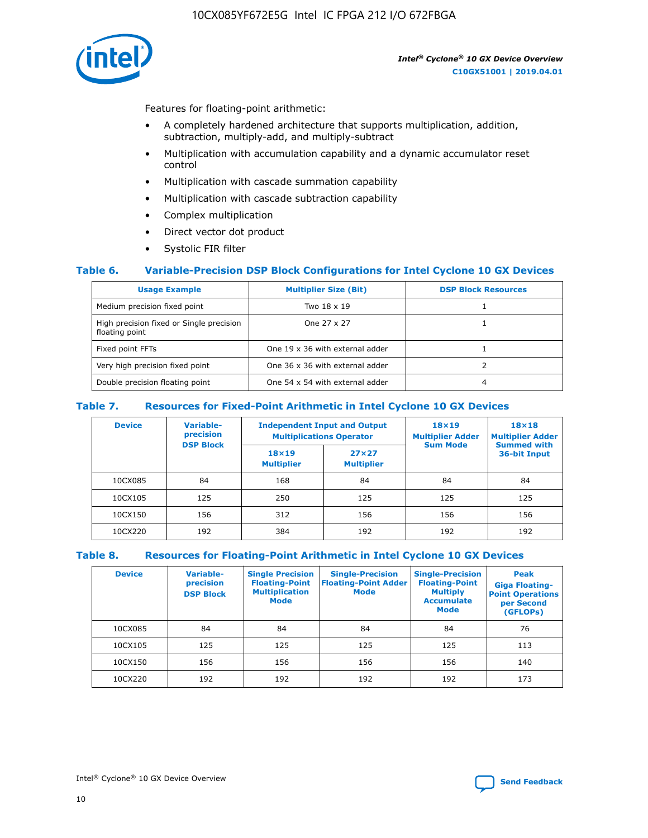10CX085YF672E5G Intel IC FPGA 212 I/O 672FBGA



Features for floating-point arithmetic:

- A completely hardened architecture that supports multiplication, addition, subtraction, multiply-add, and multiply-subtract
- Multiplication with accumulation capability and a dynamic accumulator reset control
- Multiplication with cascade summation capability
- Multiplication with cascade subtraction capability
- Complex multiplication
- Direct vector dot product
- Systolic FIR filter

#### **Table 6. Variable-Precision DSP Block Configurations for Intel Cyclone 10 GX Devices**

| <b>Usage Example</b>                                       | <b>Multiplier Size (Bit)</b>    | <b>DSP Block Resources</b> |
|------------------------------------------------------------|---------------------------------|----------------------------|
| Medium precision fixed point                               | Two 18 x 19                     |                            |
| High precision fixed or Single precision<br>floating point | One 27 x 27                     |                            |
| Fixed point FFTs                                           | One 19 x 36 with external adder |                            |
| Very high precision fixed point                            | One 36 x 36 with external adder |                            |
| Double precision floating point                            | One 54 x 54 with external adder | 4                          |

#### **Table 7. Resources for Fixed-Point Arithmetic in Intel Cyclone 10 GX Devices**

| <b>Device</b> | Variable-<br>precision<br><b>DSP Block</b> |                                   | <b>Independent Input and Output</b><br><b>Multiplications Operator</b> | $18\times19$<br><b>Multiplier Adder</b><br><b>Sum Mode</b> | 18×18<br><b>Multiplier Adder</b>   |  |
|---------------|--------------------------------------------|-----------------------------------|------------------------------------------------------------------------|------------------------------------------------------------|------------------------------------|--|
|               |                                            | $18\times19$<br><b>Multiplier</b> | $27\times27$<br><b>Multiplier</b>                                      |                                                            | <b>Summed with</b><br>36-bit Input |  |
| 10CX085       | 84                                         | 168                               | 84                                                                     | 84                                                         | 84                                 |  |
| 10CX105       | 125                                        | 250                               | 125                                                                    | 125                                                        | 125                                |  |
| 10CX150       | 156                                        | 312                               | 156                                                                    | 156                                                        | 156                                |  |
| 10CX220       | 192                                        | 384                               | 192                                                                    | 192                                                        | 192                                |  |

### **Table 8. Resources for Floating-Point Arithmetic in Intel Cyclone 10 GX Devices**

| <b>Device</b> | Variable-<br>precision<br><b>DSP Block</b> | <b>Single Precision</b><br><b>Floating-Point</b><br><b>Multiplication</b><br><b>Mode</b> | <b>Single-Precision</b><br><b>Floating-Point Adder</b><br><b>Mode</b> | <b>Single-Precision</b><br><b>Floating-Point</b><br><b>Multiply</b><br><b>Accumulate</b><br><b>Mode</b> | Peak<br><b>Giga Floating-</b><br><b>Point Operations</b><br>per Second<br>(GFLOPs) |
|---------------|--------------------------------------------|------------------------------------------------------------------------------------------|-----------------------------------------------------------------------|---------------------------------------------------------------------------------------------------------|------------------------------------------------------------------------------------|
| 10CX085       | 84                                         | 84                                                                                       | 84                                                                    | 84                                                                                                      | 76                                                                                 |
| 10CX105       | 125                                        | 125                                                                                      | 125                                                                   | 125                                                                                                     | 113                                                                                |
| 10CX150       | 156                                        | 156                                                                                      | 156                                                                   | 156                                                                                                     | 140                                                                                |
| 10CX220       | 192                                        | 192                                                                                      | 192                                                                   | 192                                                                                                     | 173                                                                                |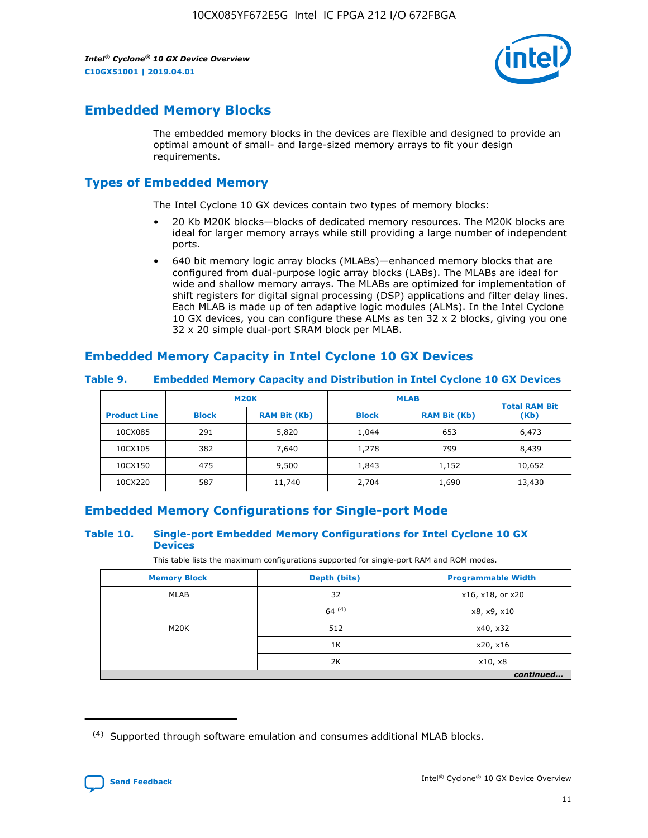

# **Embedded Memory Blocks**

The embedded memory blocks in the devices are flexible and designed to provide an optimal amount of small- and large-sized memory arrays to fit your design requirements.

# **Types of Embedded Memory**

The Intel Cyclone 10 GX devices contain two types of memory blocks:

- 20 Kb M20K blocks—blocks of dedicated memory resources. The M20K blocks are ideal for larger memory arrays while still providing a large number of independent ports.
- 640 bit memory logic array blocks (MLABs)—enhanced memory blocks that are configured from dual-purpose logic array blocks (LABs). The MLABs are ideal for wide and shallow memory arrays. The MLABs are optimized for implementation of shift registers for digital signal processing (DSP) applications and filter delay lines. Each MLAB is made up of ten adaptive logic modules (ALMs). In the Intel Cyclone 10 GX devices, you can configure these ALMs as ten 32 x 2 blocks, giving you one 32 x 20 simple dual-port SRAM block per MLAB.

# **Embedded Memory Capacity in Intel Cyclone 10 GX Devices**

|                     | <b>M20K</b><br><b>RAM Bit (Kb)</b><br><b>Block</b> |        | <b>MLAB</b>  | <b>Total RAM Bit</b> |        |
|---------------------|----------------------------------------------------|--------|--------------|----------------------|--------|
| <b>Product Line</b> |                                                    |        | <b>Block</b> | <b>RAM Bit (Kb)</b>  | (Kb)   |
| 10CX085             | 291                                                | 5,820  | 1,044        | 653                  | 6,473  |
| 10CX105             | 382                                                | 7,640  | 1,278        | 799                  | 8,439  |
| 10CX150             | 475                                                | 9,500  | 1,843        | 1,152                | 10,652 |
| 10CX220             | 587                                                | 11,740 | 2,704        | 1,690                | 13,430 |

#### **Table 9. Embedded Memory Capacity and Distribution in Intel Cyclone 10 GX Devices**

# **Embedded Memory Configurations for Single-port Mode**

#### **Table 10. Single-port Embedded Memory Configurations for Intel Cyclone 10 GX Devices**

This table lists the maximum configurations supported for single-port RAM and ROM modes.

| <b>Memory Block</b> | Depth (bits) | <b>Programmable Width</b> |
|---------------------|--------------|---------------------------|
| MLAB                | 32           | x16, x18, or x20          |
|                     | 64(4)        | x8, x9, x10               |
| M20K                | 512          | x40, x32                  |
|                     | 1K           | x20, x16                  |
|                     | 2K           | x10, x8                   |
|                     |              | continued                 |

<sup>(4)</sup> Supported through software emulation and consumes additional MLAB blocks.

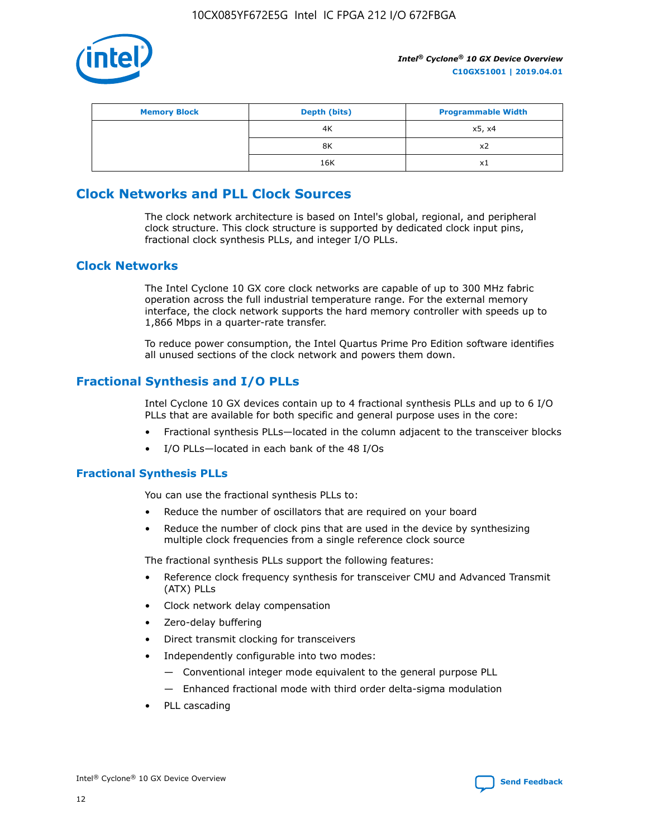

| <b>Memory Block</b> | Depth (bits) | <b>Programmable Width</b> |
|---------------------|--------------|---------------------------|
|                     | 4K           | x5, x4                    |
|                     | 8K           | X2                        |
|                     | 16K          | X1                        |

# **Clock Networks and PLL Clock Sources**

The clock network architecture is based on Intel's global, regional, and peripheral clock structure. This clock structure is supported by dedicated clock input pins, fractional clock synthesis PLLs, and integer I/O PLLs.

## **Clock Networks**

The Intel Cyclone 10 GX core clock networks are capable of up to 300 MHz fabric operation across the full industrial temperature range. For the external memory interface, the clock network supports the hard memory controller with speeds up to 1,866 Mbps in a quarter-rate transfer.

To reduce power consumption, the Intel Quartus Prime Pro Edition software identifies all unused sections of the clock network and powers them down.

## **Fractional Synthesis and I/O PLLs**

Intel Cyclone 10 GX devices contain up to 4 fractional synthesis PLLs and up to 6 I/O PLLs that are available for both specific and general purpose uses in the core:

- Fractional synthesis PLLs—located in the column adjacent to the transceiver blocks
- I/O PLLs—located in each bank of the 48 I/Os

#### **Fractional Synthesis PLLs**

You can use the fractional synthesis PLLs to:

- Reduce the number of oscillators that are required on your board
- Reduce the number of clock pins that are used in the device by synthesizing multiple clock frequencies from a single reference clock source

The fractional synthesis PLLs support the following features:

- Reference clock frequency synthesis for transceiver CMU and Advanced Transmit (ATX) PLLs
- Clock network delay compensation
- Zero-delay buffering
- Direct transmit clocking for transceivers
- Independently configurable into two modes:
	- Conventional integer mode equivalent to the general purpose PLL
	- Enhanced fractional mode with third order delta-sigma modulation
- PLL cascading

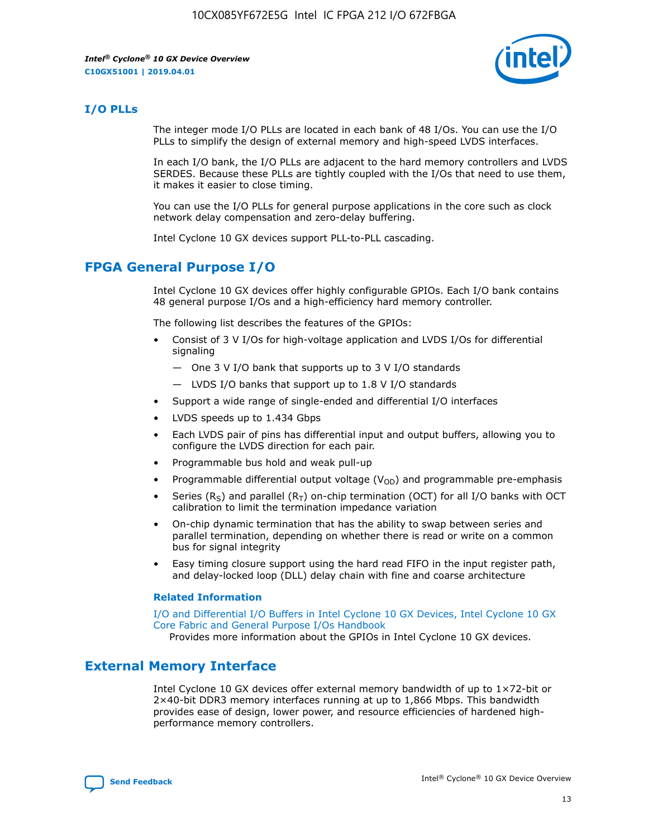

#### **I/O PLLs**

The integer mode I/O PLLs are located in each bank of 48 I/Os. You can use the I/O PLLs to simplify the design of external memory and high-speed LVDS interfaces.

In each I/O bank, the I/O PLLs are adjacent to the hard memory controllers and LVDS SERDES. Because these PLLs are tightly coupled with the I/Os that need to use them, it makes it easier to close timing.

You can use the I/O PLLs for general purpose applications in the core such as clock network delay compensation and zero-delay buffering.

Intel Cyclone 10 GX devices support PLL-to-PLL cascading.

## **FPGA General Purpose I/O**

Intel Cyclone 10 GX devices offer highly configurable GPIOs. Each I/O bank contains 48 general purpose I/Os and a high-efficiency hard memory controller.

The following list describes the features of the GPIOs:

- Consist of 3 V I/Os for high-voltage application and LVDS I/Os for differential signaling
	- One 3 V I/O bank that supports up to 3 V I/O standards
	- LVDS I/O banks that support up to 1.8 V I/O standards
- Support a wide range of single-ended and differential I/O interfaces
- LVDS speeds up to 1.434 Gbps
- Each LVDS pair of pins has differential input and output buffers, allowing you to configure the LVDS direction for each pair.
- Programmable bus hold and weak pull-up
- Programmable differential output voltage  $(V<sub>OD</sub>)$  and programmable pre-emphasis
- Series (R<sub>S</sub>) and parallel (R<sub>T</sub>) on-chip termination (OCT) for all I/O banks with OCT calibration to limit the termination impedance variation
- On-chip dynamic termination that has the ability to swap between series and parallel termination, depending on whether there is read or write on a common bus for signal integrity
- Easy timing closure support using the hard read FIFO in the input register path, and delay-locked loop (DLL) delay chain with fine and coarse architecture

#### **Related Information**

[I/O and Differential I/O Buffers in Intel Cyclone 10 GX Devices, Intel Cyclone 10 GX](https://www.intel.com/content/www/us/en/programmable/documentation/vua1487061384661.html#sam1403481935742) [Core Fabric and General Purpose I/Os Handbook](https://www.intel.com/content/www/us/en/programmable/documentation/vua1487061384661.html#sam1403481935742)

Provides more information about the GPIOs in Intel Cyclone 10 GX devices.

### **External Memory Interface**

Intel Cyclone 10 GX devices offer external memory bandwidth of up to 1×72-bit or 2×40-bit DDR3 memory interfaces running at up to 1,866 Mbps. This bandwidth provides ease of design, lower power, and resource efficiencies of hardened highperformance memory controllers.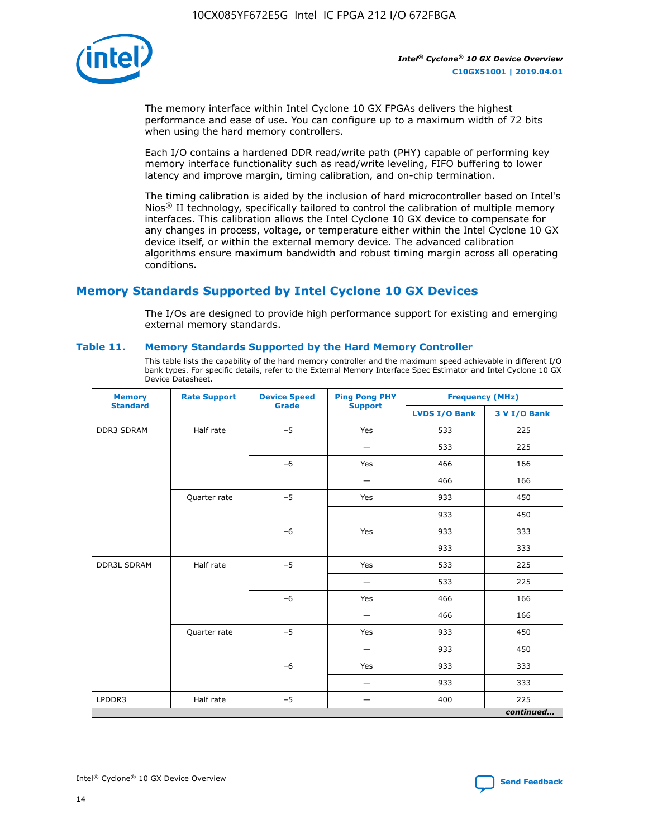

The memory interface within Intel Cyclone 10 GX FPGAs delivers the highest performance and ease of use. You can configure up to a maximum width of 72 bits when using the hard memory controllers.

Each I/O contains a hardened DDR read/write path (PHY) capable of performing key memory interface functionality such as read/write leveling, FIFO buffering to lower latency and improve margin, timing calibration, and on-chip termination.

The timing calibration is aided by the inclusion of hard microcontroller based on Intel's Nios<sup>®</sup> II technology, specifically tailored to control the calibration of multiple memory interfaces. This calibration allows the Intel Cyclone 10 GX device to compensate for any changes in process, voltage, or temperature either within the Intel Cyclone 10 GX device itself, or within the external memory device. The advanced calibration algorithms ensure maximum bandwidth and robust timing margin across all operating conditions.

# **Memory Standards Supported by Intel Cyclone 10 GX Devices**

The I/Os are designed to provide high performance support for existing and emerging external memory standards.

#### **Table 11. Memory Standards Supported by the Hard Memory Controller**

This table lists the capability of the hard memory controller and the maximum speed achievable in different I/O bank types. For specific details, refer to the External Memory Interface Spec Estimator and Intel Cyclone 10 GX Device Datasheet.

| <b>Memory</b><br><b>Standard</b> | <b>Rate Support</b> | <b>Device Speed</b><br><b>Grade</b> | <b>Ping Pong PHY</b><br><b>Support</b> | <b>Frequency (MHz)</b> |              |  |
|----------------------------------|---------------------|-------------------------------------|----------------------------------------|------------------------|--------------|--|
|                                  |                     |                                     |                                        | <b>LVDS I/O Bank</b>   | 3 V I/O Bank |  |
| DDR3 SDRAM                       | Half rate           | $-5$                                | Yes                                    | 533                    | 225          |  |
|                                  |                     |                                     |                                        | 533                    | 225          |  |
|                                  |                     | $-6$                                | Yes                                    | 466                    | 166          |  |
|                                  |                     |                                     |                                        | 466                    | 166          |  |
|                                  | Quarter rate        | $-5$                                | Yes                                    | 933                    | 450          |  |
|                                  |                     |                                     |                                        | 933                    | 450          |  |
|                                  |                     | $-6$                                | Yes                                    | 933                    | 333          |  |
|                                  |                     |                                     |                                        | 933                    | 333          |  |
| <b>DDR3L SDRAM</b>               | Half rate           | $-5$                                | Yes                                    | 533                    | 225          |  |
|                                  |                     |                                     | $\overline{\phantom{0}}$               | 533                    | 225          |  |
|                                  |                     | $-6$                                | Yes                                    | 466                    | 166          |  |
|                                  |                     |                                     |                                        | 466                    | 166          |  |
|                                  | Quarter rate        | $-5$                                | Yes                                    | 933                    | 450          |  |
|                                  |                     |                                     |                                        | 933                    | 450          |  |
|                                  |                     | $-6$                                | Yes                                    | 933                    | 333          |  |
|                                  |                     |                                     |                                        | 933                    | 333          |  |
| LPDDR3                           | Half rate           | $-5$                                |                                        | 400                    | 225          |  |
|                                  |                     |                                     |                                        |                        | continued    |  |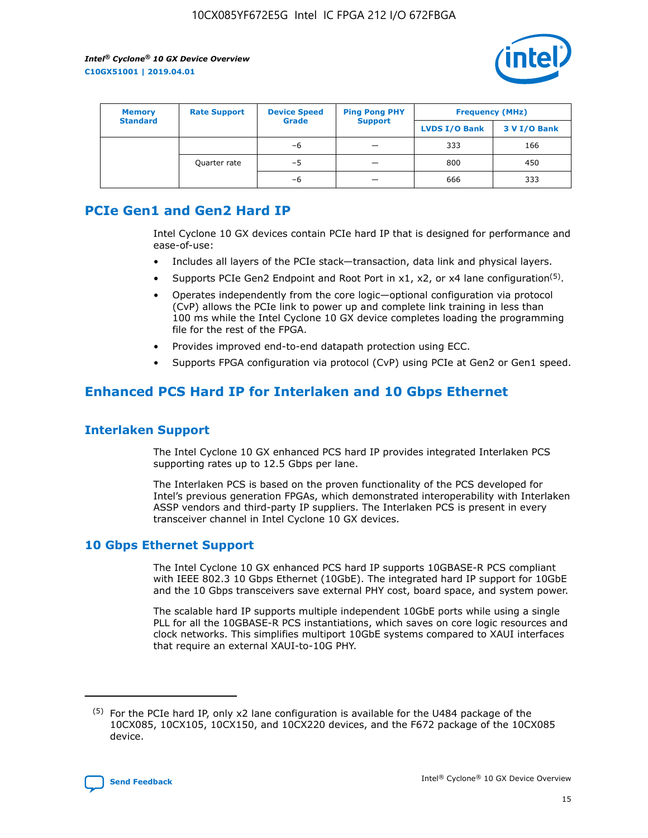

| <b>Memory</b><br><b>Standard</b> | <b>Rate Support</b> | <b>Device Speed</b><br><b>Grade</b> | <b>Ping Pong PHY</b><br><b>Support</b> | <b>Frequency (MHz)</b> |              |  |
|----------------------------------|---------------------|-------------------------------------|----------------------------------------|------------------------|--------------|--|
|                                  |                     |                                     |                                        | <b>LVDS I/O Bank</b>   | 3 V I/O Bank |  |
|                                  |                     | -6                                  |                                        | 333                    | 166          |  |
|                                  | Quarter rate        | -5                                  | -                                      | 800                    | 450          |  |
|                                  |                     | -6                                  |                                        | 666                    | 333          |  |

# **PCIe Gen1 and Gen2 Hard IP**

Intel Cyclone 10 GX devices contain PCIe hard IP that is designed for performance and ease-of-use:

- Includes all layers of the PCIe stack-transaction, data link and physical layers.
- Supports PCIe Gen2 Endpoint and Root Port in  $x1$ ,  $x2$ , or  $x4$  lane configuration<sup>(5)</sup>.
- Operates independently from the core logic—optional configuration via protocol (CvP) allows the PCIe link to power up and complete link training in less than 100 ms while the Intel Cyclone 10 GX device completes loading the programming file for the rest of the FPGA.
- Provides improved end-to-end datapath protection using ECC.
- Supports FPGA configuration via protocol (CvP) using PCIe at Gen2 or Gen1 speed.

# **Enhanced PCS Hard IP for Interlaken and 10 Gbps Ethernet**

### **Interlaken Support**

The Intel Cyclone 10 GX enhanced PCS hard IP provides integrated Interlaken PCS supporting rates up to 12.5 Gbps per lane.

The Interlaken PCS is based on the proven functionality of the PCS developed for Intel's previous generation FPGAs, which demonstrated interoperability with Interlaken ASSP vendors and third-party IP suppliers. The Interlaken PCS is present in every transceiver channel in Intel Cyclone 10 GX devices.

## **10 Gbps Ethernet Support**

The Intel Cyclone 10 GX enhanced PCS hard IP supports 10GBASE-R PCS compliant with IEEE 802.3 10 Gbps Ethernet (10GbE). The integrated hard IP support for 10GbE and the 10 Gbps transceivers save external PHY cost, board space, and system power.

The scalable hard IP supports multiple independent 10GbE ports while using a single PLL for all the 10GBASE-R PCS instantiations, which saves on core logic resources and clock networks. This simplifies multiport 10GbE systems compared to XAUI interfaces that require an external XAUI-to-10G PHY.

 $(5)$  For the PCIe hard IP, only x2 lane configuration is available for the U484 package of the 10CX085, 10CX105, 10CX150, and 10CX220 devices, and the F672 package of the 10CX085 device.

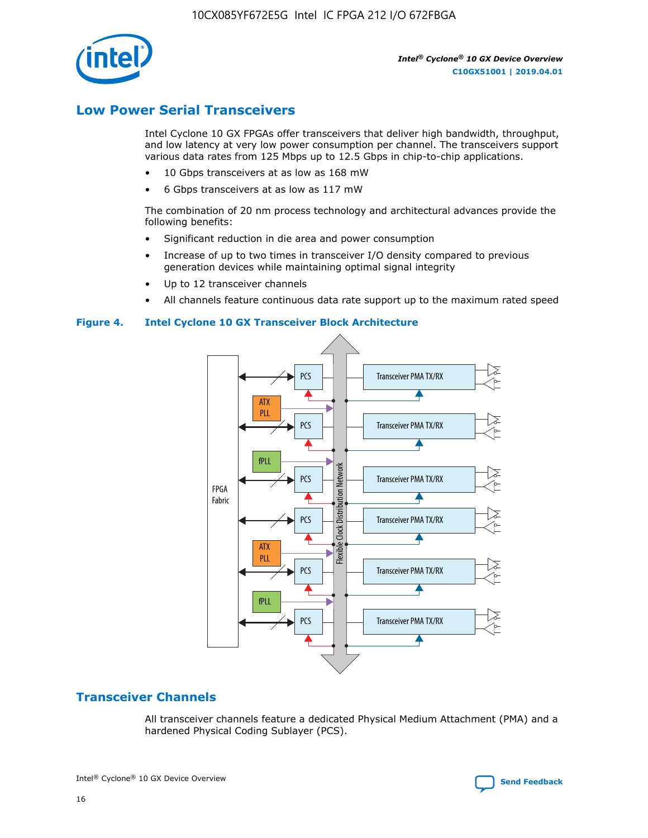10CX085YF672E5G Intel IC FPGA 212 I/O 672FBGA



*Intel® Cyclone® 10 GX Device Overview* **C10GX51001 | 2019.04.01**

# **Low Power Serial Transceivers**

Intel Cyclone 10 GX FPGAs offer transceivers that deliver high bandwidth, throughput, and low latency at very low power consumption per channel. The transceivers support various data rates from 125 Mbps up to 12.5 Gbps in chip-to-chip applications.

- 10 Gbps transceivers at as low as 168 mW
- 6 Gbps transceivers at as low as 117 mW

The combination of 20 nm process technology and architectural advances provide the following benefits:

- Significant reduction in die area and power consumption
- Increase of up to two times in transceiver I/O density compared to previous generation devices while maintaining optimal signal integrity
- Up to 12 transceiver channels
- All channels feature continuous data rate support up to the maximum rated speed

#### **Figure 4. Intel Cyclone 10 GX Transceiver Block Architecture**



# **Transceiver Channels**

All transceiver channels feature a dedicated Physical Medium Attachment (PMA) and a hardened Physical Coding Sublayer (PCS).



Intel<sup>®</sup> Cyclone<sup>®</sup> 10 GX Device Overview **[Send Feedback](mailto:FPGAtechdocfeedback@intel.com?subject=Feedback%20on%20Intel%20Cyclone%2010%20GX%20Device%20Overview%20(C10GX51001%202019.04.01)&body=We%20appreciate%20your%20feedback.%20In%20your%20comments,%20also%20specify%20the%20page%20number%20or%20paragraph.%20Thank%20you.)** Send Feedback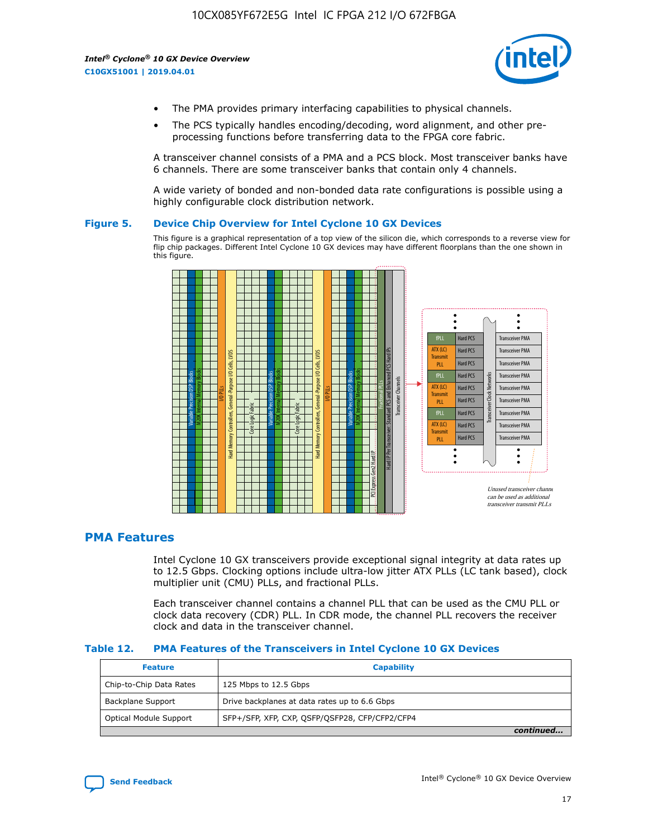

- The PMA provides primary interfacing capabilities to physical channels.
- The PCS typically handles encoding/decoding, word alignment, and other preprocessing functions before transferring data to the FPGA core fabric.

A transceiver channel consists of a PMA and a PCS block. Most transceiver banks have 6 channels. There are some transceiver banks that contain only 4 channels.

A wide variety of bonded and non-bonded data rate configurations is possible using a highly configurable clock distribution network.

#### **Figure 5. Device Chip Overview for Intel Cyclone 10 GX Devices**

This figure is a graphical representation of a top view of the silicon die, which corresponds to a reverse view for flip chip packages. Different Intel Cyclone 10 GX devices may have different floorplans than the one shown in this figure.



## **PMA Features**

Intel Cyclone 10 GX transceivers provide exceptional signal integrity at data rates up to 12.5 Gbps. Clocking options include ultra-low jitter ATX PLLs (LC tank based), clock multiplier unit (CMU) PLLs, and fractional PLLs.

Each transceiver channel contains a channel PLL that can be used as the CMU PLL or clock data recovery (CDR) PLL. In CDR mode, the channel PLL recovers the receiver clock and data in the transceiver channel.

#### **Table 12. PMA Features of the Transceivers in Intel Cyclone 10 GX Devices**

| <b>Feature</b>          | <b>Capability</b>                              |
|-------------------------|------------------------------------------------|
| Chip-to-Chip Data Rates | 125 Mbps to 12.5 Gbps                          |
| Backplane Support       | Drive backplanes at data rates up to 6.6 Gbps  |
| Optical Module Support  | SFP+/SFP, XFP, CXP, QSFP/QSFP28, CFP/CFP2/CFP4 |
|                         | continued                                      |

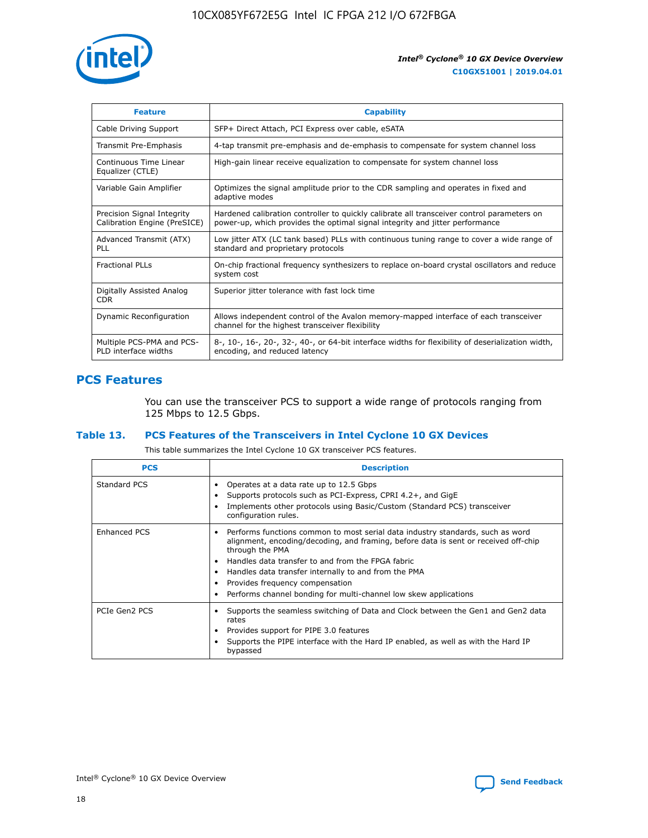

| <b>Feature</b>                                             | <b>Capability</b>                                                                                                                                                          |
|------------------------------------------------------------|----------------------------------------------------------------------------------------------------------------------------------------------------------------------------|
| Cable Driving Support                                      | SFP+ Direct Attach, PCI Express over cable, eSATA                                                                                                                          |
| Transmit Pre-Emphasis                                      | 4-tap transmit pre-emphasis and de-emphasis to compensate for system channel loss                                                                                          |
| Continuous Time Linear<br>Equalizer (CTLE)                 | High-gain linear receive equalization to compensate for system channel loss                                                                                                |
| Variable Gain Amplifier                                    | Optimizes the signal amplitude prior to the CDR sampling and operates in fixed and<br>adaptive modes                                                                       |
| Precision Signal Integrity<br>Calibration Engine (PreSICE) | Hardened calibration controller to quickly calibrate all transceiver control parameters on<br>power-up, which provides the optimal signal integrity and jitter performance |
| Advanced Transmit (ATX)<br>PLL                             | Low jitter ATX (LC tank based) PLLs with continuous tuning range to cover a wide range of<br>standard and proprietary protocols                                            |
| <b>Fractional PLLs</b>                                     | On-chip fractional frequency synthesizers to replace on-board crystal oscillators and reduce<br>system cost                                                                |
| Digitally Assisted Analog<br><b>CDR</b>                    | Superior jitter tolerance with fast lock time                                                                                                                              |
| Dynamic Reconfiguration                                    | Allows independent control of the Avalon memory-mapped interface of each transceiver<br>channel for the highest transceiver flexibility                                    |
| Multiple PCS-PMA and PCS-<br>PLD interface widths          | 8-, 10-, 16-, 20-, 32-, 40-, or 64-bit interface widths for flexibility of deserialization width,<br>encoding, and reduced latency                                         |

## **PCS Features**

You can use the transceiver PCS to support a wide range of protocols ranging from 125 Mbps to 12.5 Gbps.

#### **Table 13. PCS Features of the Transceivers in Intel Cyclone 10 GX Devices**

This table summarizes the Intel Cyclone 10 GX transceiver PCS features.

| <b>PCS</b>          | <b>Description</b>                                                                                                                                                                                                                                                                                                                                                                                                 |
|---------------------|--------------------------------------------------------------------------------------------------------------------------------------------------------------------------------------------------------------------------------------------------------------------------------------------------------------------------------------------------------------------------------------------------------------------|
| Standard PCS        | Operates at a data rate up to 12.5 Gbps<br>Supports protocols such as PCI-Express, CPRI 4.2+, and GigE<br>Implements other protocols using Basic/Custom (Standard PCS) transceiver<br>configuration rules.                                                                                                                                                                                                         |
| <b>Enhanced PCS</b> | • Performs functions common to most serial data industry standards, such as word<br>alignment, encoding/decoding, and framing, before data is sent or received off-chip<br>through the PMA<br>• Handles data transfer to and from the FPGA fabric<br>• Handles data transfer internally to and from the PMA<br>Provides frequency compensation<br>Performs channel bonding for multi-channel low skew applications |
| PCIe Gen2 PCS       | Supports the seamless switching of Data and Clock between the Gen1 and Gen2 data<br>rates<br>Provides support for PIPE 3.0 features<br>Supports the PIPE interface with the Hard IP enabled, as well as with the Hard IP<br>bypassed                                                                                                                                                                               |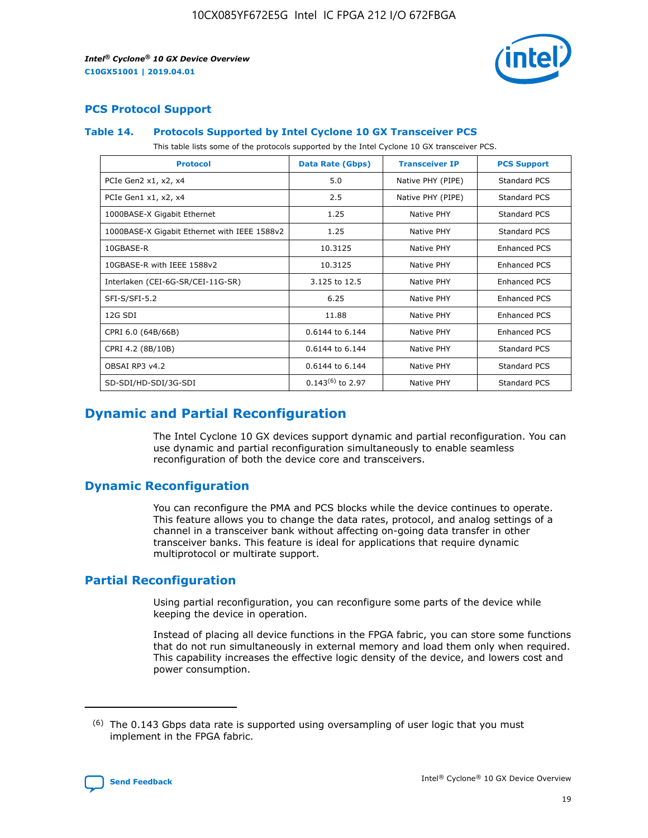

## **PCS Protocol Support**

#### **Table 14. Protocols Supported by Intel Cyclone 10 GX Transceiver PCS**

This table lists some of the protocols supported by the Intel Cyclone 10 GX transceiver PCS.

| <b>Protocol</b>                              | Data Rate (Gbps)      | <b>Transceiver IP</b> | <b>PCS Support</b>  |
|----------------------------------------------|-----------------------|-----------------------|---------------------|
| PCIe Gen2 x1, x2, x4                         | 5.0                   | Native PHY (PIPE)     | Standard PCS        |
| PCIe Gen1 x1, x2, x4                         | 2.5                   | Native PHY (PIPE)     | <b>Standard PCS</b> |
| 1000BASE-X Gigabit Ethernet                  | 1.25                  | Native PHY            | Standard PCS        |
| 1000BASE-X Gigabit Ethernet with IEEE 1588v2 | 1.25                  | Native PHY            | Standard PCS        |
| 10GBASE-R                                    | 10.3125               | Native PHY            | <b>Enhanced PCS</b> |
| 10GBASE-R with IEEE 1588v2                   | 10.3125               | Native PHY            | Enhanced PCS        |
| Interlaken (CEI-6G-SR/CEI-11G-SR)            | 3.125 to 12.5         | Native PHY            | <b>Enhanced PCS</b> |
| SFI-S/SFI-5.2                                | 6.25                  | Native PHY            | Enhanced PCS        |
| 12G SDI                                      | 11.88                 | Native PHY            | Enhanced PCS        |
| CPRI 6.0 (64B/66B)                           | 0.6144 to 6.144       | Native PHY            | Enhanced PCS        |
| CPRI 4.2 (8B/10B)                            | 0.6144 to 6.144       | Native PHY            | <b>Standard PCS</b> |
| OBSAI RP3 v4.2                               | 0.6144 to 6.144       | Native PHY            | <b>Standard PCS</b> |
| SD-SDI/HD-SDI/3G-SDI                         | $0.143^{(6)}$ to 2.97 | <b>Native PHY</b>     | Standard PCS        |

# **Dynamic and Partial Reconfiguration**

The Intel Cyclone 10 GX devices support dynamic and partial reconfiguration. You can use dynamic and partial reconfiguration simultaneously to enable seamless reconfiguration of both the device core and transceivers.

## **Dynamic Reconfiguration**

You can reconfigure the PMA and PCS blocks while the device continues to operate. This feature allows you to change the data rates, protocol, and analog settings of a channel in a transceiver bank without affecting on-going data transfer in other transceiver banks. This feature is ideal for applications that require dynamic multiprotocol or multirate support.

## **Partial Reconfiguration**

Using partial reconfiguration, you can reconfigure some parts of the device while keeping the device in operation.

Instead of placing all device functions in the FPGA fabric, you can store some functions that do not run simultaneously in external memory and load them only when required. This capability increases the effective logic density of the device, and lowers cost and power consumption.

 $(6)$  The 0.143 Gbps data rate is supported using oversampling of user logic that you must implement in the FPGA fabric.

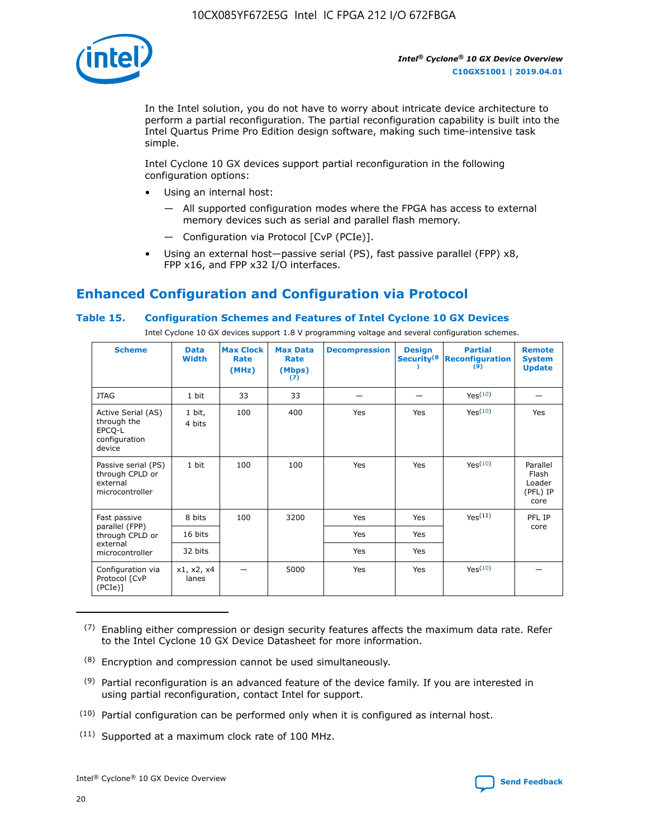

In the Intel solution, you do not have to worry about intricate device architecture to perform a partial reconfiguration. The partial reconfiguration capability is built into the Intel Quartus Prime Pro Edition design software, making such time-intensive task simple.

Intel Cyclone 10 GX devices support partial reconfiguration in the following configuration options:

- Using an internal host:
	- All supported configuration modes where the FPGA has access to external memory devices such as serial and parallel flash memory.
	- Configuration via Protocol [CvP (PCIe)].
- Using an external host—passive serial (PS), fast passive parallel (FPP) x8, FPP x16, and FPP x32 I/O interfaces.

# **Enhanced Configuration and Configuration via Protocol**

#### **Table 15. Configuration Schemes and Features of Intel Cyclone 10 GX Devices**

Intel Cyclone 10 GX devices support 1.8 V programming voltage and several configuration schemes.

| <b>Scheme</b>                                                          | <b>Data</b><br><b>Width</b> | <b>Max Clock</b><br>Rate<br>(MHz) | <b>Max Data</b><br>Rate<br>(Mbps)<br>(7) | <b>Decompression</b> | <b>Design</b><br>Security <sup>(8</sup> | <b>Partial</b><br><b>Reconfiguration</b><br>$\overline{9}$ | <b>Remote</b><br><b>System</b><br><b>Update</b> |
|------------------------------------------------------------------------|-----------------------------|-----------------------------------|------------------------------------------|----------------------|-----------------------------------------|------------------------------------------------------------|-------------------------------------------------|
| <b>JTAG</b>                                                            | 1 bit                       | 33                                | 33                                       |                      |                                         | Yes <sup>(10)</sup>                                        |                                                 |
| Active Serial (AS)<br>through the<br>EPCQ-L<br>configuration<br>device | 1 bit,<br>4 bits            | 100                               | 400                                      | Yes                  | Yes                                     | Yes <sup>(10)</sup>                                        | Yes                                             |
| Passive serial (PS)<br>through CPLD or<br>external<br>microcontroller  | 1 bit                       | 100                               | 100                                      | Yes                  | Yes                                     | Yes <sup>(10)</sup>                                        | Parallel<br>Flash<br>Loader<br>(PFL) IP<br>core |
| Fast passive                                                           | 8 bits                      | 100                               | 3200                                     | Yes                  | Yes                                     | Yes <sup>(11)</sup>                                        | PFL IP                                          |
| parallel (FPP)<br>through CPLD or                                      | 16 bits                     |                                   |                                          | Yes                  | Yes                                     |                                                            | core                                            |
| external<br>microcontroller                                            | 32 bits                     |                                   |                                          | Yes                  | Yes                                     |                                                            |                                                 |
| Configuration via<br>Protocol [CvP<br>$(PCIe)$ ]                       | x1, x2, x4<br>lanes         |                                   | 5000                                     | Yes                  | Yes                                     | Yes(10)                                                    |                                                 |

 $(7)$  Enabling either compression or design security features affects the maximum data rate. Refer to the Intel Cyclone 10 GX Device Datasheet for more information.

(11) Supported at a maximum clock rate of 100 MHz.

 $(8)$  Encryption and compression cannot be used simultaneously.

 $(9)$  Partial reconfiguration is an advanced feature of the device family. If you are interested in using partial reconfiguration, contact Intel for support.

 $(10)$  Partial configuration can be performed only when it is configured as internal host.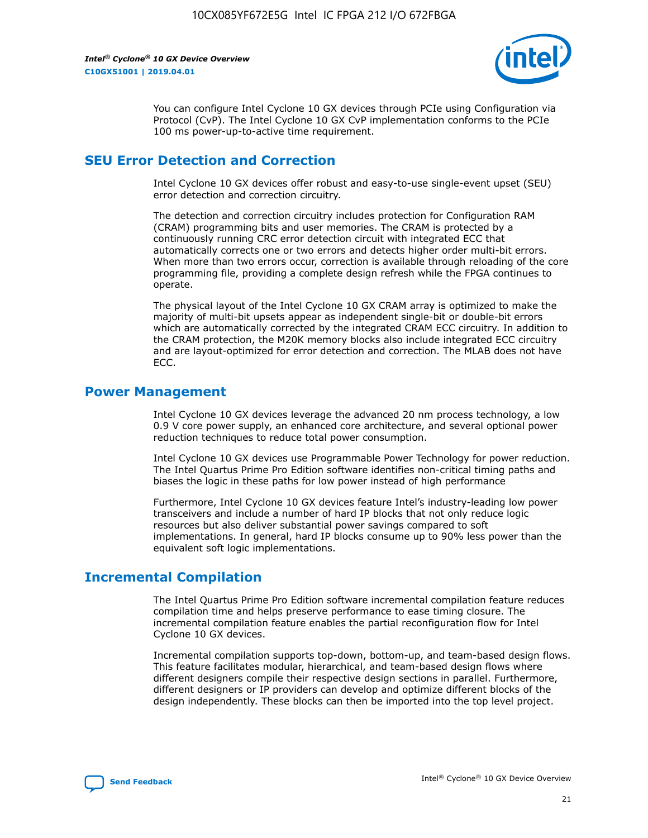

You can configure Intel Cyclone 10 GX devices through PCIe using Configuration via Protocol (CvP). The Intel Cyclone 10 GX CvP implementation conforms to the PCIe 100 ms power-up-to-active time requirement.

## **SEU Error Detection and Correction**

Intel Cyclone 10 GX devices offer robust and easy-to-use single-event upset (SEU) error detection and correction circuitry.

The detection and correction circuitry includes protection for Configuration RAM (CRAM) programming bits and user memories. The CRAM is protected by a continuously running CRC error detection circuit with integrated ECC that automatically corrects one or two errors and detects higher order multi-bit errors. When more than two errors occur, correction is available through reloading of the core programming file, providing a complete design refresh while the FPGA continues to operate.

The physical layout of the Intel Cyclone 10 GX CRAM array is optimized to make the majority of multi-bit upsets appear as independent single-bit or double-bit errors which are automatically corrected by the integrated CRAM ECC circuitry. In addition to the CRAM protection, the M20K memory blocks also include integrated ECC circuitry and are layout-optimized for error detection and correction. The MLAB does not have ECC.

#### **Power Management**

Intel Cyclone 10 GX devices leverage the advanced 20 nm process technology, a low 0.9 V core power supply, an enhanced core architecture, and several optional power reduction techniques to reduce total power consumption.

Intel Cyclone 10 GX devices use Programmable Power Technology for power reduction. The Intel Quartus Prime Pro Edition software identifies non-critical timing paths and biases the logic in these paths for low power instead of high performance

Furthermore, Intel Cyclone 10 GX devices feature Intel's industry-leading low power transceivers and include a number of hard IP blocks that not only reduce logic resources but also deliver substantial power savings compared to soft implementations. In general, hard IP blocks consume up to 90% less power than the equivalent soft logic implementations.

## **Incremental Compilation**

The Intel Quartus Prime Pro Edition software incremental compilation feature reduces compilation time and helps preserve performance to ease timing closure. The incremental compilation feature enables the partial reconfiguration flow for Intel Cyclone 10 GX devices.

Incremental compilation supports top-down, bottom-up, and team-based design flows. This feature facilitates modular, hierarchical, and team-based design flows where different designers compile their respective design sections in parallel. Furthermore, different designers or IP providers can develop and optimize different blocks of the design independently. These blocks can then be imported into the top level project.

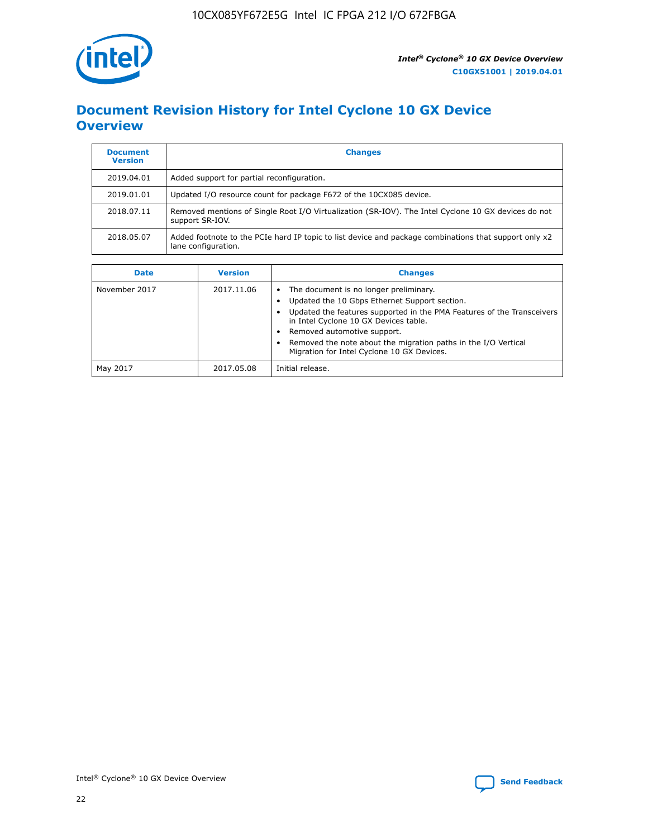

# **Document Revision History for Intel Cyclone 10 GX Device Overview**

| <b>Document</b><br><b>Version</b> | <b>Changes</b>                                                                                                               |
|-----------------------------------|------------------------------------------------------------------------------------------------------------------------------|
| 2019.04.01                        | Added support for partial reconfiguration.                                                                                   |
| 2019.01.01                        | Updated I/O resource count for package F672 of the 10CX085 device.                                                           |
| 2018.07.11                        | Removed mentions of Single Root I/O Virtualization (SR-IOV). The Intel Cyclone 10 GX devices do not<br>support SR-IOV.       |
| 2018.05.07                        | Added footnote to the PCIe hard IP topic to list device and package combinations that support only x2<br>lane configuration. |

| <b>Date</b>   | <b>Version</b> | <b>Changes</b>                                                                                                                                                                                                                                                                                                                                            |
|---------------|----------------|-----------------------------------------------------------------------------------------------------------------------------------------------------------------------------------------------------------------------------------------------------------------------------------------------------------------------------------------------------------|
| November 2017 | 2017.11.06     | The document is no longer preliminary.<br>Updated the 10 Gbps Ethernet Support section.<br>Updated the features supported in the PMA Features of the Transceivers<br>in Intel Cyclone 10 GX Devices table.<br>Removed automotive support.<br>Removed the note about the migration paths in the I/O Vertical<br>Migration for Intel Cyclone 10 GX Devices. |
| May 2017      | 2017.05.08     | Initial release.                                                                                                                                                                                                                                                                                                                                          |